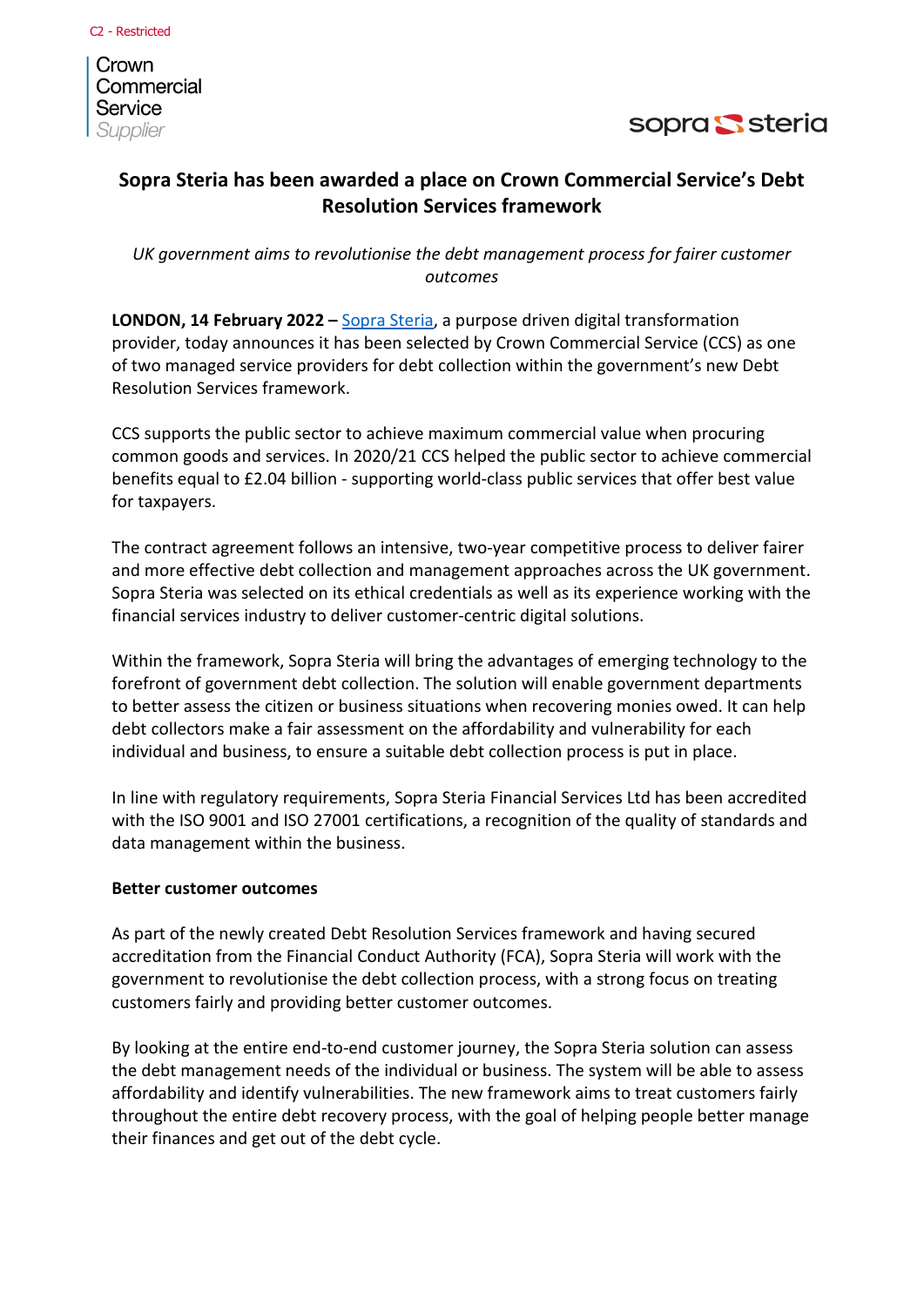Crown Commercial Service Supplier



## **Sopra Steria has been awarded a place on Crown Commercial Service's Debt Resolution Services framework**

*UK government aims to revolutionise the debt management process for fairer customer outcomes*

**LONDON, 14 February 2022 –** [Sopra Steria,](https://www.soprasteria.co.uk/) a purpose driven digital transformation provider, today announces it has been selected by Crown Commercial Service (CCS) as one of two managed service providers for debt collection within the government's new Debt Resolution Services framework.

CCS supports the public sector to achieve maximum commercial value when procuring common goods and services. In 2020/21 CCS helped the public sector to achieve commercial benefits equal to £2.04 billion - supporting world-class public services that offer best value for taxpayers.

The contract agreement follows an intensive, two-year competitive process to deliver fairer and more effective debt collection and management approaches across the UK government. Sopra Steria was selected on its ethical credentials as well as its experience working with the financial services industry to deliver customer-centric digital solutions.

Within the framework, Sopra Steria will bring the advantages of emerging technology to the forefront of government debt collection. The solution will enable government departments to better assess the citizen or business situations when recovering monies owed. It can help debt collectors make a fair assessment on the affordability and vulnerability for each individual and business, to ensure a suitable debt collection process is put in place.

In line with regulatory requirements, Sopra Steria Financial Services Ltd has been accredited with the ISO 9001 and ISO 27001 certifications, a recognition of the quality of standards and data management within the business.

### **Better customer outcomes**

As part of the newly created Debt Resolution Services framework and having secured accreditation from the Financial Conduct Authority (FCA), Sopra Steria will work with the government to revolutionise the debt collection process, with a strong focus on treating customers fairly and providing better customer outcomes.

By looking at the entire end-to-end customer journey, the Sopra Steria solution can assess the debt management needs of the individual or business. The system will be able to assess affordability and identify vulnerabilities. The new framework aims to treat customers fairly throughout the entire debt recovery process, with the goal of helping people better manage their finances and get out of the debt cycle.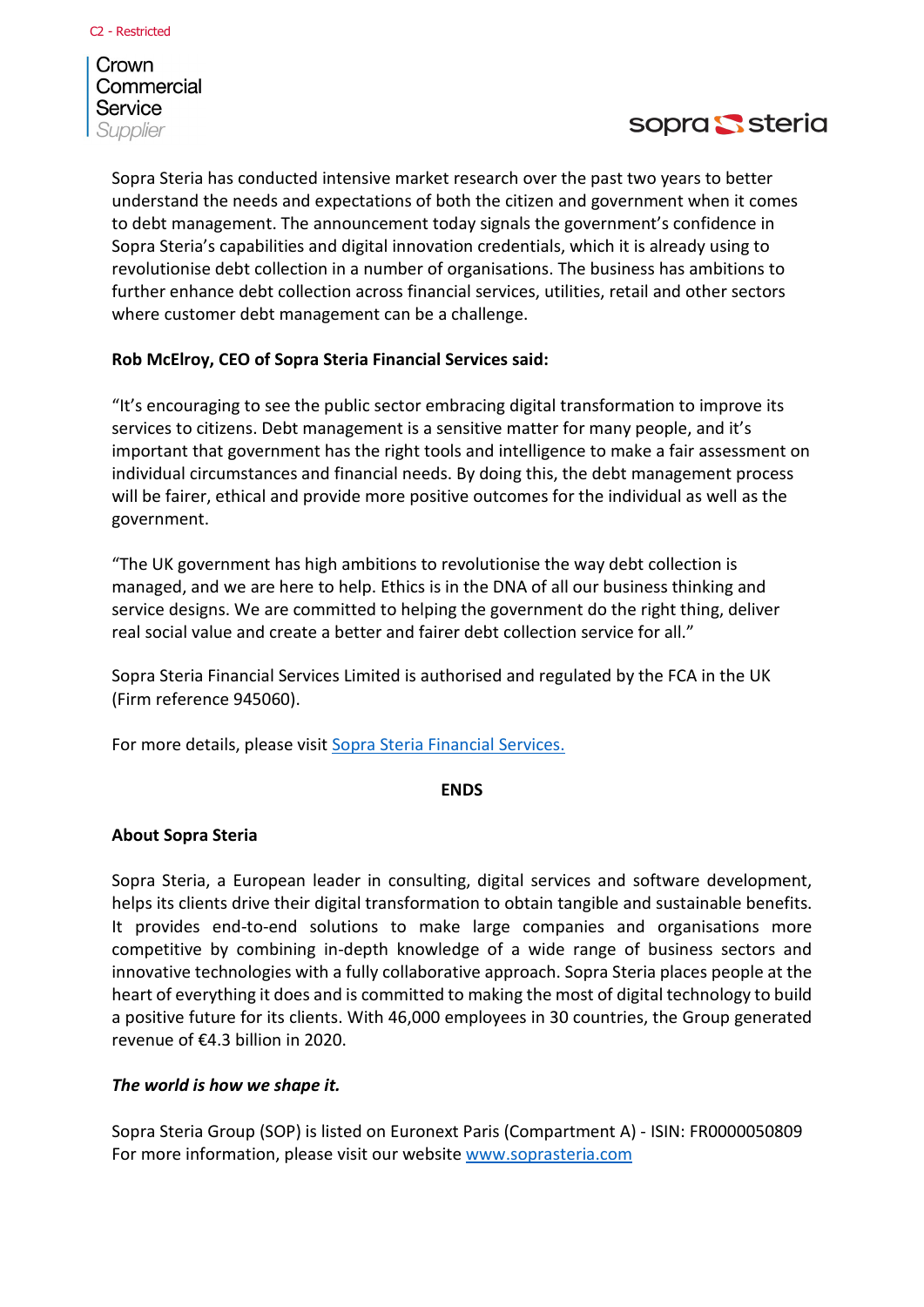Crown Commercial Service Supplier



Sopra Steria has conducted intensive market research over the past two years to better understand the needs and expectations of both the citizen and government when it comes to debt management. The announcement today signals the government's confidence in Sopra Steria's capabilities and digital innovation credentials, which it is already using to revolutionise debt collection in a number of organisations. The business has ambitions to further enhance debt collection across financial services, utilities, retail and other sectors where customer debt management can be a challenge.

### **Rob McElroy, CEO of Sopra Steria Financial Services said:**

"It's encouraging to see the public sector embracing digital transformation to improve its services to citizens. Debt management is a sensitive matter for many people, and it's important that government has the right tools and intelligence to make a fair assessment on individual circumstances and financial needs. By doing this, the debt management process will be fairer, ethical and provide more positive outcomes for the individual as well as the government.

"The UK government has high ambitions to revolutionise the way debt collection is managed, and we are here to help. Ethics is in the DNA of all our business thinking and service designs. We are committed to helping the government do the right thing, deliver real social value and create a better and fairer debt collection service for all."

Sopra Steria Financial Services Limited is authorised and regulated by the FCA in the UK (Firm reference 945060).

For more details, please visit [Sopra Steria Financial Services.](https://www.soprasteria.co.uk/capabilities/business-services/sopra-steria-financial-services)

### **ENDS**

### **About Sopra Steria**

Sopra Steria, a European leader in consulting, digital services and software development, helps its clients drive their digital transformation to obtain tangible and sustainable benefits. It provides end-to-end solutions to make large companies and organisations more competitive by combining in-depth knowledge of a wide range of business sectors and innovative technologies with a fully collaborative approach. Sopra Steria places people at the heart of everything it does and is committed to making the most of digital technology to build a positive future for its clients. With 46,000 employees in 30 countries, the Group generated revenue of €4.3 billion in 2020.

### *The world is how we shape it.*

Sopra Steria Group (SOP) is listed on Euronext Paris (Compartment A) - ISIN: FR0000050809 For more information, please visit our website [www.soprasteria.com](http://www.soprasteria.com/)